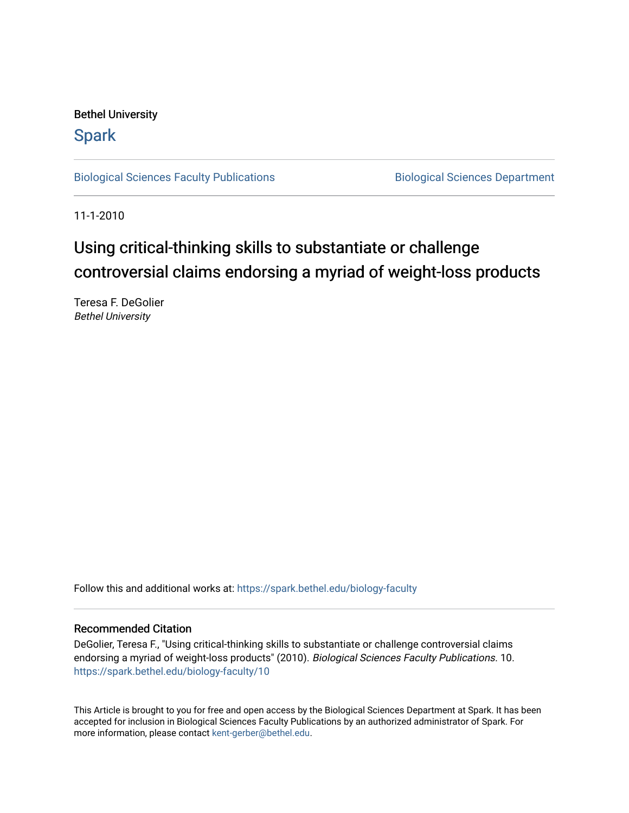Bethel University

## **Spark**

[Biological Sciences Faculty Publications](https://spark.bethel.edu/biology-faculty) **Biological Sciences Department** 

11-1-2010

# Using critical-thinking skills to substantiate or challenge controversial claims endorsing a myriad of weight-loss products

Teresa F. DeGolier Bethel University

Follow this and additional works at: [https://spark.bethel.edu/biology-faculty](https://spark.bethel.edu/biology-faculty?utm_source=spark.bethel.edu%2Fbiology-faculty%2F10&utm_medium=PDF&utm_campaign=PDFCoverPages)

#### Recommended Citation

DeGolier, Teresa F., "Using critical-thinking skills to substantiate or challenge controversial claims endorsing a myriad of weight-loss products" (2010). Biological Sciences Faculty Publications. 10. [https://spark.bethel.edu/biology-faculty/10](https://spark.bethel.edu/biology-faculty/10?utm_source=spark.bethel.edu%2Fbiology-faculty%2F10&utm_medium=PDF&utm_campaign=PDFCoverPages) 

This Article is brought to you for free and open access by the Biological Sciences Department at Spark. It has been accepted for inclusion in Biological Sciences Faculty Publications by an authorized administrator of Spark. For more information, please contact [kent-gerber@bethel.edu.](mailto:kent-gerber@bethel.edu)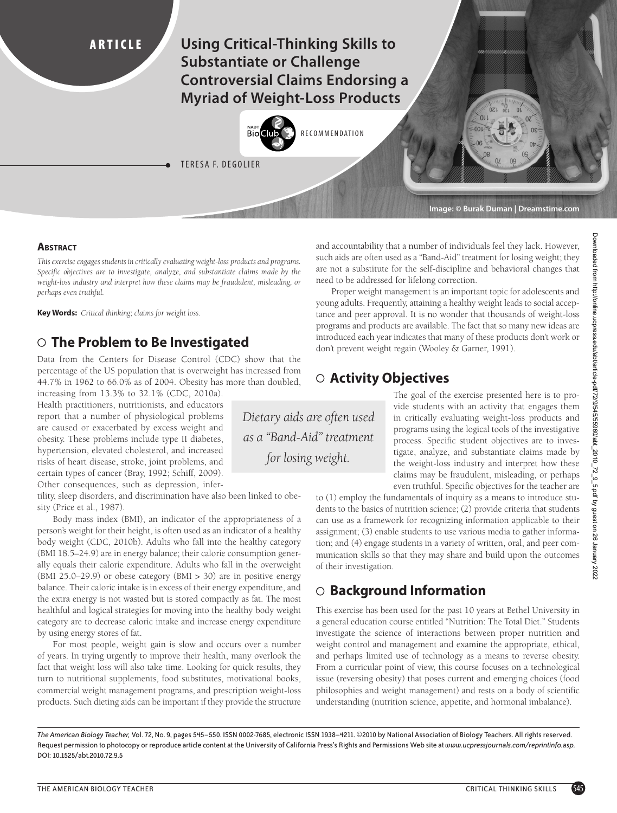Article **Using Critical-Thinking Skills to Substantiate or Challenge Controversial Claims Endorsing a Myriad of Weight-Loss Products**



TERESA E. DEGOLIER

**Image: © Burak Duman | Dreamstime.com**

#### **Abstract**

*This exercise engages students in critically evaluating weight-loss products and programs. Specific objectives are to investigate, analyze, and substantiate claims made by the weight-loss industry and interpret how these claims may be fraudulent, misleading, or perhaps even truthful.*

**Key Words:** *Critical thinking; claims for weight loss.*

## <sup>J</sup> **The Problem to Be Investigated**

Data from the Centers for Disease Control (CDC) show that the percentage of the US population that is overweight has increased from 44.7% in 1962 to 66.0% as of 2004. Obesity has more than doubled,

increasing from 13.3% to 32.1% (CDC, 2010a). Health practitioners, nutritionists, and educators report that a number of physiological problems are caused or exacerbated by excess weight and obesity. These problems include type II diabetes, hypertension, elevated cholesterol, and increased risks of heart disease, stroke, joint problems, and certain types of cancer (Bray, 1992; Schiff, 2009). Other consequences, such as depression, infer-

tility, sleep disorders, and discrimination have also been linked to obesity (Price et al., 1987).

Body mass index (BMI), an indicator of the appropriateness of a person's weight for their height, is often used as an indicator of a healthy body weight (CDC, 2010b). Adults who fall into the healthy category (BMI 18.5–24.9) are in energy balance; their calorie consumption generally equals their calorie expenditure. Adults who fall in the overweight (BMI 25.0–29.9) or obese category (BMI > 30) are in positive energy balance. Their caloric intake is in excess of their energy expenditure, and the extra energy is not wasted but is stored compactly as fat. The most healthful and logical strategies for moving into the healthy body weight category are to decrease caloric intake and increase energy expenditure by using energy stores of fat.

For most people, weight gain is slow and occurs over a number of years. In trying urgently to improve their health, many overlook the fact that weight loss will also take time. Looking for quick results, they turn to nutritional supplements, food substitutes, motivational books, commercial weight management programs, and prescription weight-loss products. Such dieting aids can be important if they provide the structure and accountability that a number of individuals feel they lack. However, such aids are often used as a "Band-Aid" treatment for losing weight; they are not a substitute for the self-discipline and behavioral changes that need to be addressed for lifelong correction.

Proper weight management is an important topic for adolescents and young adults. Frequently, attaining a healthy weight leads to social acceptance and peer approval. It is no wonder that thousands of weight-loss programs and products are available. The fact that so many new ideas are introduced each year indicates that many of these products don't work or don't prevent weight regain (Wooley & Garner, 1991).

## O **Activity Objectives**

*Dietary aids are often used as a "Band-Aid" treatment for losing weight.*

The goal of the exercise presented here is to provide students with an activity that engages them in critically evaluating weight-loss products and programs using the logical tools of the investigative process. Specific student objectives are to investigate, analyze, and substantiate claims made by the weight-loss industry and interpret how these claims may be fraudulent, misleading, or perhaps

even truthful. Specific objectives for the teacher are to (1) employ the fundamentals of inquiry as a means to introduce students to the basics of nutrition science; (2) provide criteria that students can use as a framework for recognizing information applicable to their assignment; (3) enable students to use various media to gather information; and (4) engage students in a variety of written, oral, and peer communication skills so that they may share and build upon the outcomes of their investigation.

## **O** Background Information

This exercise has been used for the past 10 years at Bethel University in a general education course entitled "Nutrition: The Total Diet." Students investigate the science of interactions between proper nutrition and weight control and management and examine the appropriate, ethical, and perhaps limited use of technology as a means to reverse obesity. From a curricular point of view, this course focuses on a technological issue (reversing obesity) that poses current and emerging choices (food philosophies and weight management) and rests on a body of scientific understanding (nutrition science, appetite, and hormonal imbalance).

*The American Biology Teacher,* Vol. 72, No. 9, pages 545–550. ISSN 0002-7685, electronic ISSN 1938–4211. ©2010 by National Association of Biology Teachers. All rights reserved. Request permission to photocopy or reproduce article content at the University of California Press's Rights and Permissions Web site at *www.ucpressjournals.com/reprintinfo.asp.* DOI: 10.1525/abt.2010.72.9.5

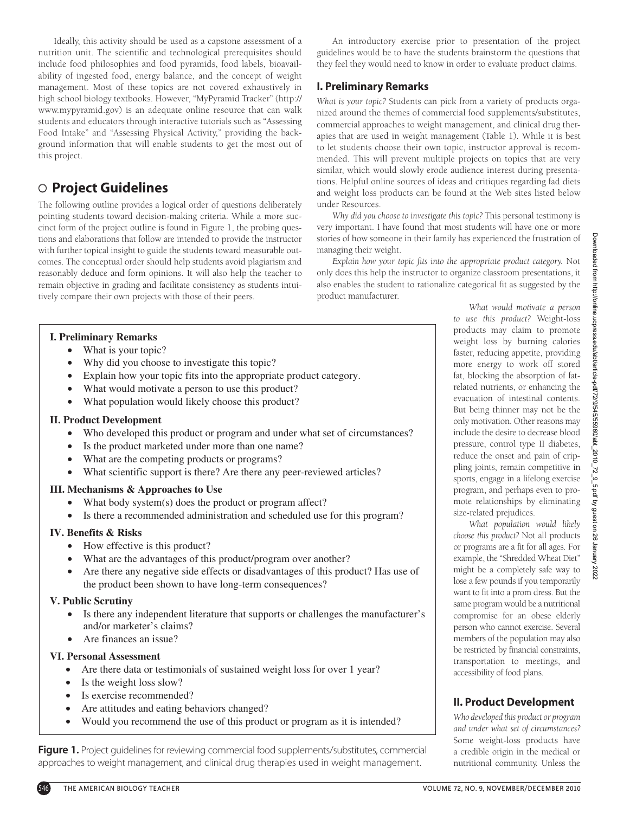#### Ideally, this activity should be used as a capstone assessment of a nutrition unit. The scientific and technological prerequisites should include food philosophies and food pyramids, food labels, bioavailability of ingested food, energy balance, and the concept of weight management. Most of these topics are not covered exhaustively in high school biology textbooks. However, "MyPyramid Tracker" (http:// www.mypyramid.gov) is an adequate online resource that can walk students and educators through interactive tutorials such as "Assessing Food Intake" and "Assessing Physical Activity," providing the background information that will enable students to get the most out of this project.

## <sup>J</sup> **Project Guidelines**

The following outline provides a logical order of questions deliberately pointing students toward decision-making criteria. While a more succinct form of the project outline is found in Figure 1, the probing questions and elaborations that follow are intended to provide the instructor with further topical insight to guide the students toward measurable outcomes. The conceptual order should help students avoid plagiarism and reasonably deduce and form opinions. It will also help the teacher to remain objective in grading and facilitate consistency as students intuitively compare their own projects with those of their peers.

An introductory exercise prior to presentation of the project guidelines would be to have the students brainstorm the questions that they feel they would need to know in order to evaluate product claims.

### **I. Preliminary Remarks**

*What is your topic?* Students can pick from a variety of products organized around the themes of commercial food supplements/substitutes, commercial approaches to weight management, and clinical drug therapies that are used in weight management (Table 1). While it is best to let students choose their own topic, instructor approval is recommended. This will prevent multiple projects on topics that are very similar, which would slowly erode audience interest during presentations. Helpful online sources of ideas and critiques regarding fad diets and weight loss products can be found at the Web sites listed below under Resources.

*Why did you choose to investigate this topic?* This personal testimony is very important. I have found that most students will have one or more stories of how someone in their family has experienced the frustration of managing their weight.

*Explain how your topic fits into the appropriate product category.* Not only does this help the instructor to organize classroom presentations, it also enables the student to rationalize categorical fit as suggested by the product manufacturer. *What would motivate a person* 

#### **I. Preliminary Remarks**

- What is your topic?
- Why did you choose to investigate this topic?
- Explain how your topic fits into the appropriate product category.
- What would motivate a person to use this product?
- What population would likely choose this product?

#### **II. Product Development**

- Who developed this product or program and under what set of circumstances?
- Is the product marketed under more than one name?
- What are the competing products or programs?
- What scientific support is there? Are there any peer-reviewed articles?

#### **III. Mechanisms & Approaches to Use**

- What body system(s) does the product or program affect?
- Is there a recommended administration and scheduled use for this program?

#### **IV. Benefits & Risks**

- How effective is this product?
- What are the advantages of this product/program over another?
- Are there any negative side effects or disadvantages of this product? Has use of the product been shown to have long-term consequences?

#### **V. Public Scrutiny**

- Is there any independent literature that supports or challenges the manufacturer's and/or marketer's claims?
- Are finances an issue?

#### **VI. Personal Assessment**

- Are there data or testimonials of sustained weight loss for over 1 year?
- Is the weight loss slow?
- Is exercise recommended?
- Are attitudes and eating behaviors changed?
- Would you recommend the use of this product or program as it is intended?

Figure 1. Project guidelines for reviewing commercial food supplements/substitutes, commercial approaches to weight management, and clinical drug therapies used in weight management.

products may claim to promote weight loss by burning calories faster, reducing appetite, providing more energy to work off stored fat, blocking the absorption of fatrelated nutrients, or enhancing the evacuation of intestinal contents. But being thinner may not be the only motivation. Other reasons may include the desire to decrease blood pressure, control type II diabetes, reduce the onset and pain of crippling joints, remain competitive in sports, engage in a lifelong exercise program, and perhaps even to promote relationships by eliminating size-related prejudices.

*to use this product?* Weight-loss

*What population would likely choose this product?* Not all products or programs are a fit for all ages. For example, the "Shredded Wheat Diet" might be a completely safe way to lose a few pounds if you temporarily want to fit into a prom dress. But the same program would be a nutritional compromise for an obese elderly person who cannot exercise. Several members of the population may also be restricted by financial constraints, transportation to meetings, and accessibility of food plans.

## **II. Product Development**

*Who developed this product or program and under what set of circumstances?*  Some weight-loss products have a credible origin in the medical or nutritional community. Unless the

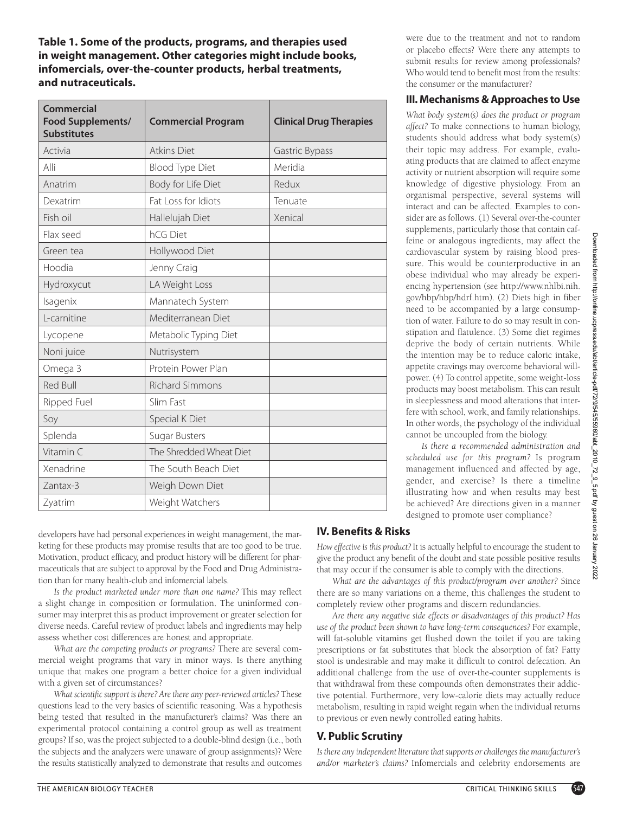**Table 1. Some of the products, programs, and therapies used in weight management. Other categories might include books, infomercials, over-the-counter products, herbal treatments, and nutraceuticals.**

| <b>Commercial</b><br>Food Supplements/<br><b>Substitutes</b> | <b>Commercial Program</b> | <b>Clinical Drug Therapies</b> |
|--------------------------------------------------------------|---------------------------|--------------------------------|
| Activia                                                      | <b>Atkins Diet</b>        | Gastric Bypass                 |
| Alli                                                         | <b>Blood Type Diet</b>    | Meridia                        |
| Anatrim                                                      | Body for Life Diet        | Redux                          |
| Dexatrim                                                     | Fat Loss for Idiots       | Tenuate                        |
| Fish oil                                                     | Hallelujah Diet           | Xenical                        |
| Flax seed                                                    | hCG Diet                  |                                |
| Green tea                                                    | Hollywood Diet            |                                |
| Hoodia                                                       | Jenny Craig               |                                |
| Hydroxycut                                                   | LA Weight Loss            |                                |
| Isagenix                                                     | Mannatech System          |                                |
| L-carnitine                                                  | Mediterranean Diet        |                                |
| Lycopene                                                     | Metabolic Typing Diet     |                                |
| Noni juice                                                   | Nutrisystem               |                                |
| Omega 3                                                      | Protein Power Plan        |                                |
| <b>Red Bull</b>                                              | <b>Richard Simmons</b>    |                                |
| Ripped Fuel                                                  | Slim Fast                 |                                |
| Soy                                                          | Special K Diet            |                                |
| Splenda                                                      | Sugar Busters             |                                |
| Vitamin C                                                    | The Shredded Wheat Diet   |                                |
| Xenadrine                                                    | The South Beach Diet      |                                |
| Zantax-3                                                     | Weigh Down Diet           |                                |
| Zyatrim                                                      | Weight Watchers           |                                |

were due to the treatment and not to random or placebo effects? Were there any attempts to submit results for review among professionals? Who would tend to benefit most from the results: the consumer or the manufacturer?

#### **III. Mechanisms & Approaches to Use**

*What body system(s) does the product or program affect?* To make connections to human biology, students should address what body system(s) their topic may address. For example, evaluating products that are claimed to affect enzyme activity or nutrient absorption will require some knowledge of digestive physiology. From an organismal perspective, several systems will interact and can be affected. Examples to consider are as follows. (1) Several over-the-counter supplements, particularly those that contain caffeine or analogous ingredients, may affect the cardiovascular system by raising blood pressure. This would be counterproductive in an obese individual who may already be experiencing hypertension (see http://www.nhlbi.nih. gov/hbp/hbp/hdrf.htm). (2) Diets high in fiber need to be accompanied by a large consumption of water. Failure to do so may result in constipation and flatulence. (3) Some diet regimes deprive the body of certain nutrients. While the intention may be to reduce caloric intake, appetite cravings may overcome behavioral willpower. (4) To control appetite, some weight-loss products may boost metabolism. This can result in sleeplessness and mood alterations that interfere with school, work, and family relationships. In other words, the psychology of the individual cannot be uncoupled from the biology.

*Is there a recommended administration and scheduled use for this program?* Is program management influenced and affected by age, gender, and exercise? Is there a timeline illustrating how and when results may best be achieved? Are directions given in a manner designed to promote user compliance?

developers have had personal experiences in weight management, the marketing for these products may promise results that are too good to be true. Motivation, product efficacy, and product history will be different for pharmaceuticals that are subject to approval by the Food and Drug Administration than for many health-club and infomercial labels.

*Is the product marketed under more than one name?* This may reflect a slight change in composition or formulation. The uninformed consumer may interpret this as product improvement or greater selection for diverse needs. Careful review of product labels and ingredients may help assess whether cost differences are honest and appropriate.

*What are the competing products or programs?* There are several commercial weight programs that vary in minor ways. Is there anything unique that makes one program a better choice for a given individual with a given set of circumstances?

*What scientific support is there? Are there any peer-reviewed articles?* These questions lead to the very basics of scientific reasoning. Was a hypothesis being tested that resulted in the manufacturer's claims? Was there an experimental protocol containing a control group as well as treatment groups? If so, was the project subjected to a double-blind design (i.e., both the subjects and the analyzers were unaware of group assignments)? Were the results statistically analyzed to demonstrate that results and outcomes

#### **IV. Benefits & Risks**

*How effective is this product?* It is actually helpful to encourage the student to give the product any benefit of the doubt and state possible positive results that may occur if the consumer is able to comply with the directions.

*What are the advantages of this product/program over another?* Since there are so many variations on a theme, this challenges the student to completely review other programs and discern redundancies.

*Are there any negative side effects or disadvantages of this product? Has use of the product been shown to have long-term consequences?* For example, will fat-soluble vitamins get flushed down the toilet if you are taking prescriptions or fat substitutes that block the absorption of fat? Fatty stool is undesirable and may make it difficult to control defecation. An additional challenge from the use of over-the-counter supplements is that withdrawal from these compounds often demonstrates their addictive potential. Furthermore, very low-calorie diets may actually reduce metabolism, resulting in rapid weight regain when the individual returns to previous or even newly controlled eating habits.

#### **V. Public Scrutiny**

*Is there any independent literature that supports or challenges the manufacturer's and/or marketer's claims?* Infomercials and celebrity endorsements are

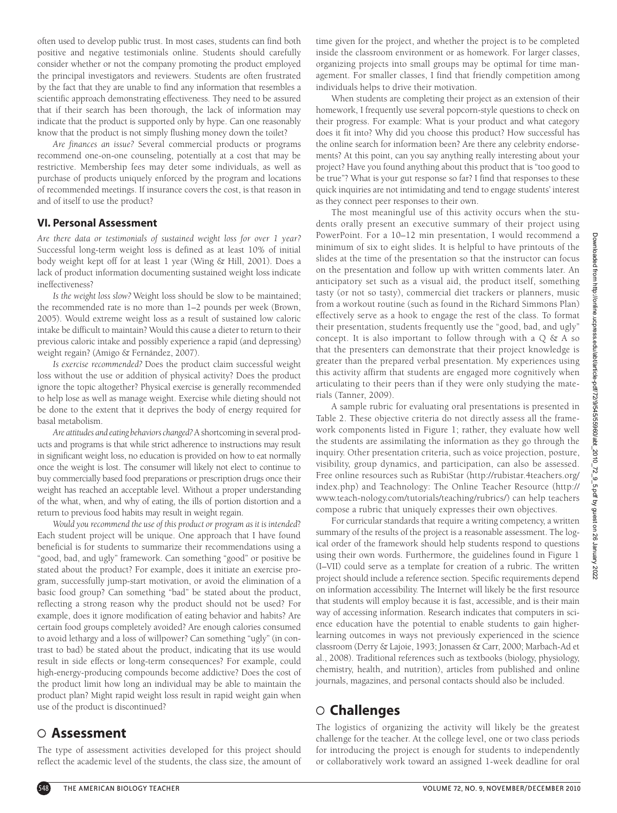often used to develop public trust. In most cases, students can find both positive and negative testimonials online. Students should carefully consider whether or not the company promoting the product employed the principal investigators and reviewers. Students are often frustrated by the fact that they are unable to find any information that resembles a scientific approach demonstrating effectiveness. They need to be assured that if their search has been thorough, the lack of information may indicate that the product is supported only by hype. Can one reasonably know that the product is not simply flushing money down the toilet?

*Are finances an issue?* Several commercial products or programs recommend one-on-one counseling, potentially at a cost that may be restrictive. Membership fees may deter some individuals, as well as purchase of products uniquely enforced by the program and locations of recommended meetings. If insurance covers the cost, is that reason in and of itself to use the product?

#### **VI. Personal Assessment**

*Are there data or testimonials of sustained weight loss for over 1 year?* Successful long-term weight loss is defined as at least 10% of initial body weight kept off for at least 1 year (Wing & Hill, 2001). Does a lack of product information documenting sustained weight loss indicate ineffectiveness?

*Is the weight loss slow?* Weight loss should be slow to be maintained; the recommended rate is no more than 1–2 pounds per week (Brown, 2005). Would extreme weight loss as a result of sustained low caloric intake be difficult to maintain? Would this cause a dieter to return to their previous caloric intake and possibly experience a rapid (and depressing) weight regain? (Amigo & Fernández, 2007).

*Is exercise recommended?* Does the product claim successful weight loss without the use or addition of physical activity? Does the product ignore the topic altogether? Physical exercise is generally recommended to help lose as well as manage weight. Exercise while dieting should not be done to the extent that it deprives the body of energy required for basal metabolism.

*Are attitudes and eating behaviors changed?* A shortcoming in several products and programs is that while strict adherence to instructions may result in significant weight loss, no education is provided on how to eat normally once the weight is lost. The consumer will likely not elect to continue to buy commercially based food preparations or prescription drugs once their weight has reached an acceptable level. Without a proper understanding of the what, when, and why of eating, the ills of portion distortion and a return to previous food habits may result in weight regain.

*Would you recommend the use of this product or program as it is intended*? Each student project will be unique. One approach that I have found beneficial is for students to summarize their recommendations using a "good, bad, and ugly" framework. Can something "good" or positive be stated about the product? For example, does it initiate an exercise program, successfully jump-start motivation, or avoid the elimination of a basic food group? Can something "bad" be stated about the product, reflecting a strong reason why the product should not be used? For example, does it ignore modification of eating behavior and habits? Are certain food groups completely avoided? Are enough calories consumed to avoid lethargy and a loss of willpower? Can something "ugly" (in contrast to bad) be stated about the product, indicating that its use would result in side effects or long-term consequences? For example, could high-energy-producing compounds become addictive? Does the cost of the product limit how long an individual may be able to maintain the product plan? Might rapid weight loss result in rapid weight gain when use of the product is discontinued?

#### <sup>J</sup> **Assessment**

The type of assessment activities developed for this project should reflect the academic level of the students, the class size, the amount of time given for the project, and whether the project is to be completed inside the classroom environment or as homework. For larger classes, organizing projects into small groups may be optimal for time management. For smaller classes, I find that friendly competition among individuals helps to drive their motivation.

When students are completing their project as an extension of their homework, I frequently use several popcorn-style questions to check on their progress. For example: What is your product and what category does it fit into? Why did you choose this product? How successful has the online search for information been? Are there any celebrity endorsements? At this point, can you say anything really interesting about your project? Have you found anything about this product that is "too good to be true"? What is your gut response so far? I find that responses to these quick inquiries are not intimidating and tend to engage students' interest as they connect peer responses to their own.

The most meaningful use of this activity occurs when the students orally present an executive summary of their project using PowerPoint. For a 10–12 min presentation, I would recommend a minimum of six to eight slides. It is helpful to have printouts of the slides at the time of the presentation so that the instructor can focus on the presentation and follow up with written comments later. An anticipatory set such as a visual aid, the product itself, something tasty (or not so tasty), commercial diet trackers or planners, music from a workout routine (such as found in the Richard Simmons Plan) effectively serve as a hook to engage the rest of the class. To format their presentation, students frequently use the "good, bad, and ugly" concept. It is also important to follow through with a  $Q \& A$  so that the presenters can demonstrate that their project knowledge is greater than the prepared verbal presentation. My experiences using this activity affirm that students are engaged more cognitively when articulating to their peers than if they were only studying the materials (Tanner, 2009).

A sample rubric for evaluating oral presentations is presented in Table 2. These objective criteria do not directly assess all the framework components listed in Figure 1; rather, they evaluate how well the students are assimilating the information as they go through the inquiry. Other presentation criteria, such as voice projection, posture, visibility, group dynamics, and participation, can also be assessed. Free online resources such as RubiStar (http://rubistar.4teachers.org/ index.php) and Teachnology: The Online Teacher Resource (http:// www.teach-nology.com/tutorials/teaching/rubrics/) can help teachers compose a rubric that uniquely expresses their own objectives.

For curricular standards that require a writing competency, a written summary of the results of the project is a reasonable assessment. The logical order of the framework should help students respond to questions using their own words. Furthermore, the guidelines found in Figure 1 (I–VII) could serve as a template for creation of a rubric. The written project should include a reference section. Specific requirements depend on information accessibility. The Internet will likely be the first resource that students will employ because it is fast, accessible, and is their main way of accessing information. Research indicates that computers in science education have the potential to enable students to gain higherlearning outcomes in ways not previously experienced in the science classroom (Derry & Lajoie, 1993; Jonassen & Carr, 2000; Marbach-Ad et al., 2008). Traditional references such as textbooks (biology, physiology, chemistry, health, and nutrition), articles from published and online journals, magazines, and personal contacts should also be included.

## <sup>J</sup> **Challenges**

The logistics of organizing the activity will likely be the greatest challenge for the teacher. At the college level, one or two class periods for introducing the project is enough for students to independently or collaboratively work toward an assigned 1-week deadline for oral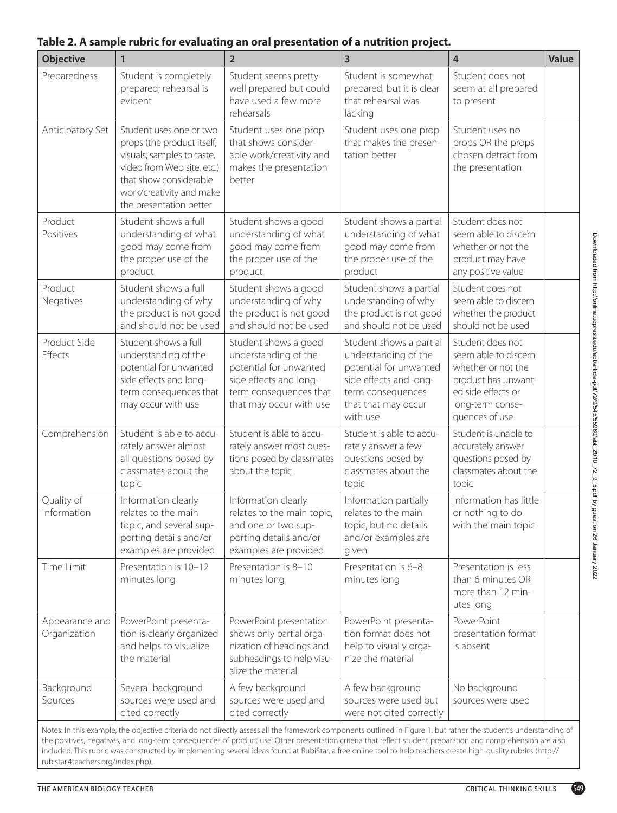| Objective                      | $\mathbf{1}$                                                                                                                                                                                       | $\overline{2}$                                                                                                                                        | $\overline{3}$                                                                                                                                              | $\overline{4}$                                                                                                                                    | Value |
|--------------------------------|----------------------------------------------------------------------------------------------------------------------------------------------------------------------------------------------------|-------------------------------------------------------------------------------------------------------------------------------------------------------|-------------------------------------------------------------------------------------------------------------------------------------------------------------|---------------------------------------------------------------------------------------------------------------------------------------------------|-------|
| Preparedness                   | Student is completely<br>prepared; rehearsal is<br>evident                                                                                                                                         | Student seems pretty<br>well prepared but could<br>have used a few more<br>rehearsals                                                                 | Student is somewhat<br>prepared, but it is clear<br>that rehearsal was<br>lacking                                                                           | Student does not<br>seem at all prepared<br>to present                                                                                            |       |
| Anticipatory Set               | Student uses one or two<br>props (the product itself,<br>visuals, samples to taste,<br>video from Web site, etc.)<br>that show considerable<br>work/creativity and make<br>the presentation better | Student uses one prop<br>that shows consider-<br>able work/creativity and<br>makes the presentation<br>better                                         | Student uses one prop<br>that makes the presen-<br>tation better                                                                                            | Student uses no<br>props OR the props<br>chosen detract from<br>the presentation                                                                  |       |
| Product<br>Positives           | Student shows a full<br>understanding of what<br>good may come from<br>the proper use of the<br>product                                                                                            | Student shows a good<br>understanding of what<br>good may come from<br>the proper use of the<br>product                                               | Student shows a partial<br>understanding of what<br>good may come from<br>the proper use of the<br>product                                                  | Student does not<br>seem able to discern<br>whether or not the<br>product may have<br>any positive value                                          |       |
| Product<br>Negatives           | Student shows a full<br>understanding of why<br>the product is not good<br>and should not be used                                                                                                  | Student shows a good<br>understanding of why<br>the product is not good<br>and should not be used                                                     | Student shows a partial<br>understanding of why<br>the product is not good<br>and should not be used                                                        | Student does not<br>seem able to discern<br>whether the product<br>should not be used                                                             |       |
| Product Side<br>Effects        | Student shows a full<br>understanding of the<br>potential for unwanted<br>side effects and long-<br>term consequences that<br>may occur with use                                                   | Student shows a good<br>understanding of the<br>potential for unwanted<br>side effects and long-<br>term consequences that<br>that may occur with use | Student shows a partial<br>understanding of the<br>potential for unwanted<br>side effects and long-<br>term consequences<br>that that may occur<br>with use | Student does not<br>seem able to discern<br>whether or not the<br>product has unwant-<br>ed side effects or<br>long-term conse-<br>quences of use |       |
| Comprehension                  | Student is able to accu-<br>rately answer almost<br>all questions posed by<br>classmates about the<br>topic                                                                                        | Student is able to accu-<br>rately answer most ques-<br>tions posed by classmates<br>about the topic                                                  | Student is able to accu-<br>rately answer a few<br>questions posed by<br>classmates about the<br>topic                                                      | Student is unable to<br>accurately answer<br>questions posed by<br>classmates about the<br>topic                                                  |       |
| Quality of<br>Information      | Information clearly<br>relates to the main<br>topic, and several sup-<br>porting details and/or<br>examples are provided                                                                           | Information clearly<br>relates to the main topic,<br>and one or two sup-<br>porting details and/or<br>examples are provided                           | Information partially<br>relates to the main<br>topic, but no details<br>and/or examples are<br>given                                                       | Information has little<br>or nothing to do<br>with the main topic                                                                                 |       |
| Time Limit                     | Presentation is 10-12<br>minutes long                                                                                                                                                              | Presentation is 8-10<br>minutes long                                                                                                                  | Presentation is 6-8<br>minutes long                                                                                                                         | Presentation is less<br>than 6 minutes OR<br>more than 12 min-<br>utes long                                                                       |       |
| Appearance and<br>Organization | PowerPoint presenta-<br>tion is clearly organized<br>and helps to visualize<br>the material                                                                                                        | PowerPoint presentation<br>shows only partial orga-<br>nization of headings and<br>subheadings to help visu-<br>alize the material                    | PowerPoint presenta-<br>tion format does not<br>help to visually orga-<br>nize the material                                                                 | PowerPoint<br>presentation format<br>is absent                                                                                                    |       |
| Background<br>Sources          | Several background<br>sources were used and<br>cited correctly                                                                                                                                     | A few background<br>sources were used and<br>cited correctly                                                                                          | A few background<br>sources were used but<br>were not cited correctly                                                                                       | No background<br>sources were used                                                                                                                |       |

#### **Table 2. A sample rubric for evaluating an oral presentation of a nutrition project.**

Notes: In this example, the objective criteria do not directly assess all the framework components outlined in Figure 1, but rather the student's understanding of the positives, negatives, and long-term consequences of product use. Other presentation criteria that reflect student preparation and comprehension are also included. This rubric was constructed by implementing several ideas found at RubiStar, a free online tool to help teachers create high-quality rubrics (http:// rubistar.4teachers.org/index.php).